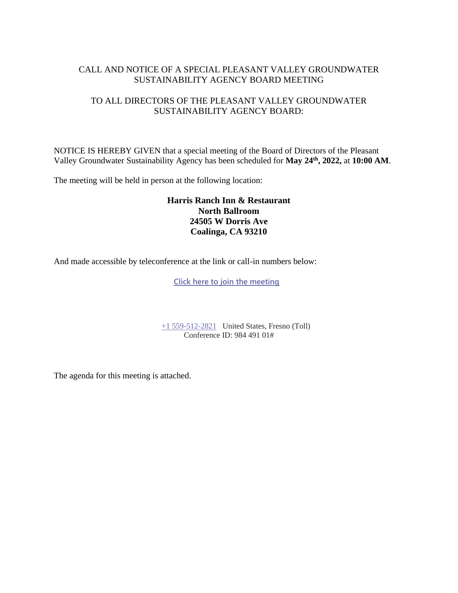## CALL AND NOTICE OF A SPECIAL PLEASANT VALLEY GROUNDWATER SUSTAINABILITY AGENCY BOARD MEETING

## TO ALL DIRECTORS OF THE PLEASANT VALLEY GROUNDWATER SUSTAINABILITY AGENCY BOARD:

NOTICE IS HEREBY GIVEN that a special meeting of the Board of Directors of the Pleasant Valley Groundwater Sustainability Agency has been scheduled for **May 24th, 2022,** at **10:00 AM**.

The meeting will be held in person at the following location:

#### **Harris Ranch Inn & Restaurant North Ballroom 24505 W Dorris Ave Coalinga, CA 93210**

And made accessible by teleconference at the link or call-in numbers below:

**[Click here to join the meeting](https://teams.microsoft.com/l/meetup-join/19%3ameeting_YjZlYTNhOGMtZmU3Zi00ZWU3LTk3NWEtYjNkZTI1ODE0MDU2%40thread.v2/0?context=%7b%22Tid%22%3a%22a6cf659f-2360-4ff9-9e8d-045f48434ada%22%2c%22Oid%22%3a%225aeb912a-1b48-4d0b-94f5-be7893f4a09c%22%7d)**

[+1 559-512-2821](tel:+15595122821,,98449101) United States, Fresno (Toll) Conference ID: 984 491 01#

The agenda for this meeting is attached.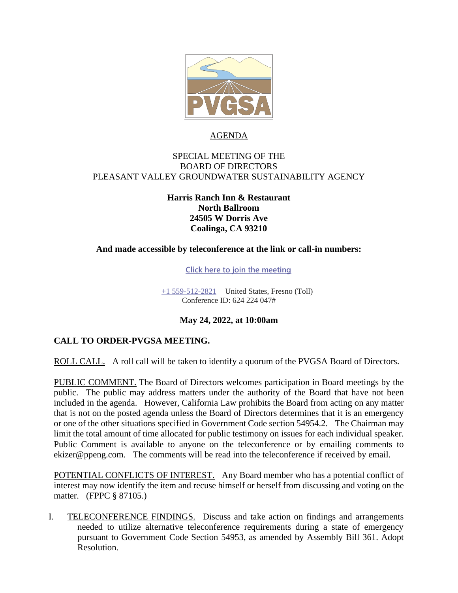

## AGENDA

### SPECIAL MEETING OF THE BOARD OF DIRECTORS PLEASANT VALLEY GROUNDWATER SUSTAINABILITY AGENCY

## **Harris Ranch Inn & Restaurant North Ballroom 24505 W Dorris Ave Coalinga, CA 93210**

#### **And made accessible by teleconference at the link or call-in numbers:**

**[Click here to join the meeting](https://teams.microsoft.com/l/meetup-join/19%3ameeting_YjZlYTNhOGMtZmU3Zi00ZWU3LTk3NWEtYjNkZTI1ODE0MDU2%40thread.v2/0?context=%7b%22Tid%22%3a%22a6cf659f-2360-4ff9-9e8d-045f48434ada%22%2c%22Oid%22%3a%225aeb912a-1b48-4d0b-94f5-be7893f4a09c%22%7d)**

[+1 559-512-2821](tel:+15595122821,,85232084# ) United States, Fresno (Toll) Conference ID: 624 224 047#

#### **May 24, 2022, at 10:00am**

### **CALL TO ORDER-PVGSA MEETING.**

ROLL CALL. A roll call will be taken to identify a quorum of the PVGSA Board of Directors.

PUBLIC COMMENT. The Board of Directors welcomes participation in Board meetings by the public. The public may address matters under the authority of the Board that have not been included in the agenda. However, California Law prohibits the Board from acting on any matter that is not on the posted agenda unless the Board of Directors determines that it is an emergency or one of the other situations specified in Government Code section 54954.2. The Chairman may limit the total amount of time allocated for public testimony on issues for each individual speaker. Public Comment is available to anyone on the teleconference or by emailing comments to ekizer@ppeng.com. The comments will be read into the teleconference if received by email.

POTENTIAL CONFLICTS OF INTEREST. Any Board member who has a potential conflict of interest may now identify the item and recuse himself or herself from discussing and voting on the matter. (FPPC § 87105.)

I. TELECONFERENCE FINDINGS. Discuss and take action on findings and arrangements needed to utilize alternative teleconference requirements during a state of emergency pursuant to Government Code Section 54953, as amended by Assembly Bill 361. Adopt Resolution.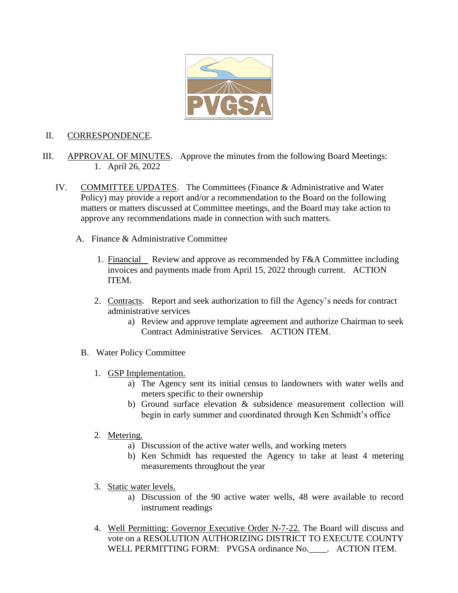

#### II. CORRESPONDENCE.

- III. APPROVAL OF MINUTES. Approve the minutes from the following Board Meetings: 1. April 26, 2022
	- IV. COMMITTEE UPDATES. The Committees (Finance & Administrative and Water Policy) may provide a report and/or a recommendation to the Board on the following matters or matters discussed at Committee meetings, and the Board may take action to approve any recommendations made in connection with such matters.
		- A. Finance & Administrative Committee
			- 1. Financial Review and approve as recommended by F&A Committee including invoices and payments made from April 15, 2022 through current. ACTION ITEM.
			- 2. Contracts. Report and seek authorization to fill the Agency's needs for contract administrative services
				- a) Review and approve template agreement and authorize Chairman to seek Contract Administrative Services. ACTION ITEM.
			- B. Water Policy Committee
				- 1. GSP Implementation.
					- a) The Agency sent its initial census to landowners with water wells and meters specific to their ownership
					- b) Ground surface elevation & subsidence measurement collection will begin in early summer and coordinated through Ken Schmidt's office
				- 2. Metering.
					- a) Discussion of the active water wells, and working meters
					- b) Ken Schmidt has requested the Agency to take at least 4 metering measurements throughout the year
				- 3. Static water levels.
					- a) Discussion of the 90 active water wells, 48 were available to record instrument readings
				- 4. Well Permitting: Governor Executive Order N-7-22. The Board will discuss and vote on a RESOLUTION AUTHORIZING DISTRICT TO EXECUTE COUNTY WELL PERMITTING FORM: PVGSA ordinance No.\_\_\_\_. ACTION ITEM.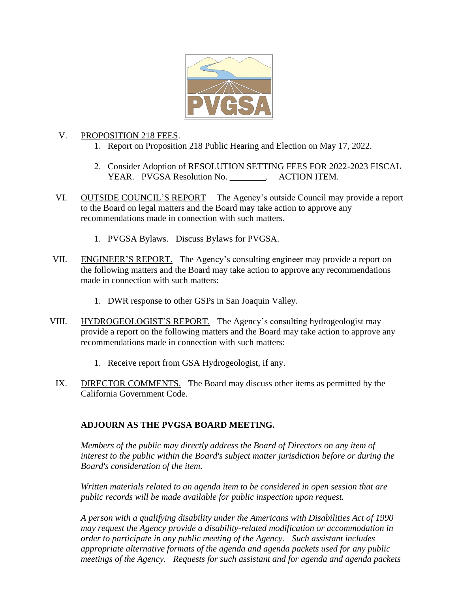

## V. PROPOSITION 218 FEES.

- 1. Report on Proposition 218 Public Hearing and Election on May 17, 2022.
- 2. Consider Adoption of RESOLUTION SETTING FEES FOR 2022-2023 FISCAL YEAR. PVGSA Resolution No. \_\_\_\_\_\_\_\_. ACTION ITEM.
- VI. OUTSIDE COUNCIL'S REPORT The Agency's outside Council may provide a report to the Board on legal matters and the Board may take action to approve any recommendations made in connection with such matters.
	- 1. PVGSA Bylaws. Discuss Bylaws for PVGSA.
- VII. ENGINEER'S REPORT. The Agency's consulting engineer may provide a report on the following matters and the Board may take action to approve any recommendations made in connection with such matters:
	- 1. DWR response to other GSPs in San Joaquin Valley.
- VIII. HYDROGEOLOGIST'S REPORT. The Agency's consulting hydrogeologist may provide a report on the following matters and the Board may take action to approve any recommendations made in connection with such matters:
	- 1. Receive report from GSA Hydrogeologist, if any.
	- IX. DIRECTOR COMMENTS. The Board may discuss other items as permitted by the California Government Code.

# **ADJOURN AS THE PVGSA BOARD MEETING.**

*Members of the public may directly address the Board of Directors on any item of interest to the public within the Board's subject matter jurisdiction before or during the Board's consideration of the item.*

*Written materials related to an agenda item to be considered in open session that are public records will be made available for public inspection upon request.*

*A person with a qualifying disability under the Americans with Disabilities Act of 1990 may request the Agency provide a disability-related modification or accommodation in order to participate in any public meeting of the Agency. Such assistant includes appropriate alternative formats of the agenda and agenda packets used for any public meetings of the Agency. Requests for such assistant and for agenda and agenda packets*